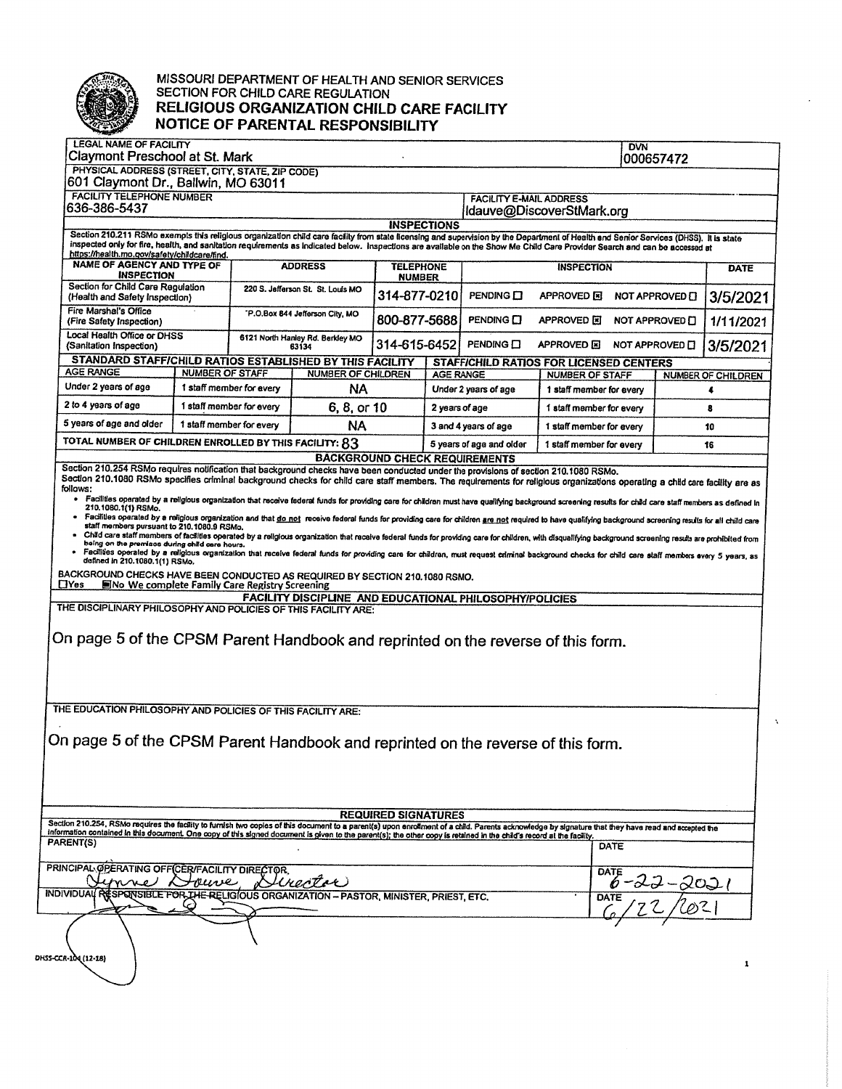

## MISSOURI DEPARTMENT OF HEALTH AND SENIOR SERVICES<br>SECTION FOR CHILD CARE REGULATION RELIGIOUS ORGANIZATION CHILD CARE FACILITY NOTICE OF PARENTAL RESPONSIBILITY

| LEGAL NAME OF FACILITY<br>Claymont Preschool at St. Mark                                                                                                                                                                                                                                                                                                                                                                                                                                                                                                                                                                                                                                                                                                                                                                                                                                                                                                                                                                                                                                                                                                                                                                                                                                                                                                                                                                                                                                                                                                                   |                        |                                           |                                                                           |                                   |                                                                  |                                                  |                                                   | <b>DVN</b> | 000657472 |                           |
|----------------------------------------------------------------------------------------------------------------------------------------------------------------------------------------------------------------------------------------------------------------------------------------------------------------------------------------------------------------------------------------------------------------------------------------------------------------------------------------------------------------------------------------------------------------------------------------------------------------------------------------------------------------------------------------------------------------------------------------------------------------------------------------------------------------------------------------------------------------------------------------------------------------------------------------------------------------------------------------------------------------------------------------------------------------------------------------------------------------------------------------------------------------------------------------------------------------------------------------------------------------------------------------------------------------------------------------------------------------------------------------------------------------------------------------------------------------------------------------------------------------------------------------------------------------------------|------------------------|-------------------------------------------|---------------------------------------------------------------------------|-----------------------------------|------------------------------------------------------------------|--------------------------------------------------|---------------------------------------------------|------------|-----------|---------------------------|
| PHYSICAL ADDRESS (STREET, CITY, STATE, ZIP CODE)                                                                                                                                                                                                                                                                                                                                                                                                                                                                                                                                                                                                                                                                                                                                                                                                                                                                                                                                                                                                                                                                                                                                                                                                                                                                                                                                                                                                                                                                                                                           |                        |                                           |                                                                           |                                   |                                                                  |                                                  |                                                   |            |           |                           |
| 601 Claymont Dr., Ballwin, MO 63011<br><b>FACILITY TELEPHONE NUMBER</b><br><b>FACILITY E-MAIL ADDRESS</b><br>636-386-5437<br>Idauve@DiscoverStMark.org                                                                                                                                                                                                                                                                                                                                                                                                                                                                                                                                                                                                                                                                                                                                                                                                                                                                                                                                                                                                                                                                                                                                                                                                                                                                                                                                                                                                                     |                        |                                           |                                                                           |                                   |                                                                  |                                                  |                                                   |            |           |                           |
|                                                                                                                                                                                                                                                                                                                                                                                                                                                                                                                                                                                                                                                                                                                                                                                                                                                                                                                                                                                                                                                                                                                                                                                                                                                                                                                                                                                                                                                                                                                                                                            |                        |                                           |                                                                           | <b>INSPECTIONS</b>                |                                                                  |                                                  |                                                   |            |           |                           |
| Section 210.211 RSMo exempts this religious organization child care facility from state licensing and supervision by the Department of Health and Senior Services (DHSS). It is state<br>inspected only for fire, health, and sanitation requirements as indicated below. Inspections are available on the Show Me Child Care Provider Search and can be accessed at                                                                                                                                                                                                                                                                                                                                                                                                                                                                                                                                                                                                                                                                                                                                                                                                                                                                                                                                                                                                                                                                                                                                                                                                       |                        |                                           |                                                                           |                                   |                                                                  |                                                  |                                                   |            |           |                           |
| https://health.mo.gov/safety/childcare/find.<br>NAME OF AGENCY AND TYPE OF<br><b>INSPECTION</b>                                                                                                                                                                                                                                                                                                                                                                                                                                                                                                                                                                                                                                                                                                                                                                                                                                                                                                                                                                                                                                                                                                                                                                                                                                                                                                                                                                                                                                                                            |                        | <b>ADDRESS</b>                            |                                                                           | <b>TELEPHONE</b><br><b>NUMBER</b> |                                                                  | <b>INSPECTION</b>                                |                                                   |            |           | <b>DATE</b>               |
| Section for Child Care Regulation<br>(Health and Safety Inspection)                                                                                                                                                                                                                                                                                                                                                                                                                                                                                                                                                                                                                                                                                                                                                                                                                                                                                                                                                                                                                                                                                                                                                                                                                                                                                                                                                                                                                                                                                                        |                        | 220 S. Jefferson St. St. Louis MO         |                                                                           | 314-877-0210                      |                                                                  | PENDING O                                        | <b>APPROVED</b> 国<br>NOT APPROVED O               |            |           | 3/5/2021                  |
| Fire Marshal's Office<br>(Fire Safety Inspection)                                                                                                                                                                                                                                                                                                                                                                                                                                                                                                                                                                                                                                                                                                                                                                                                                                                                                                                                                                                                                                                                                                                                                                                                                                                                                                                                                                                                                                                                                                                          |                        | "P.O.Box 844 Jefferson City, MO           |                                                                           | 800-877-5688                      |                                                                  | PENDING CI                                       | <b>APPROVED FI</b><br>1/11/2021<br>NOT APPROVED I |            |           |                           |
| Local Health Office or DHSS<br>(Sanitation Inspection)                                                                                                                                                                                                                                                                                                                                                                                                                                                                                                                                                                                                                                                                                                                                                                                                                                                                                                                                                                                                                                                                                                                                                                                                                                                                                                                                                                                                                                                                                                                     |                        | 6121 North Hanley Rd. Berkley MO<br>63134 |                                                                           | 314-615-6452                      |                                                                  | PENDING O                                        | APPROVED <b>E</b> NOT APPROVED <b>D</b>           |            | 3/5/2021  |                           |
| STANDARD STAFF/CHILD RATIOS ESTABLISHED BY THIS FACILITY                                                                                                                                                                                                                                                                                                                                                                                                                                                                                                                                                                                                                                                                                                                                                                                                                                                                                                                                                                                                                                                                                                                                                                                                                                                                                                                                                                                                                                                                                                                   |                        |                                           |                                                                           |                                   |                                                                  | <b>STAFF/CHILD RATIOS FOR LICENSED CENTERS</b>   |                                                   |            |           |                           |
| <b>AGE RANGE</b>                                                                                                                                                                                                                                                                                                                                                                                                                                                                                                                                                                                                                                                                                                                                                                                                                                                                                                                                                                                                                                                                                                                                                                                                                                                                                                                                                                                                                                                                                                                                                           | <b>NUMBER OF STAFF</b> |                                           | <b>NUMBER OF CHILDREN</b>                                                 |                                   | AGE RANGE                                                        |                                                  | <b>NUMBER OF STAFF</b>                            |            |           | <b>NUMBER OF CHILDREN</b> |
| Under 2 years of age                                                                                                                                                                                                                                                                                                                                                                                                                                                                                                                                                                                                                                                                                                                                                                                                                                                                                                                                                                                                                                                                                                                                                                                                                                                                                                                                                                                                                                                                                                                                                       |                        | 1 staff member for every<br><b>NA</b>     |                                                                           |                                   |                                                                  | Under 2 years of age<br>1 staff member for every |                                                   | 4          |           |                           |
| 2 to 4 years of age                                                                                                                                                                                                                                                                                                                                                                                                                                                                                                                                                                                                                                                                                                                                                                                                                                                                                                                                                                                                                                                                                                                                                                                                                                                                                                                                                                                                                                                                                                                                                        |                        | 1 staff member for every<br>6, 8, or 10   |                                                                           |                                   | 2 years of age                                                   |                                                  | 1 staff member for every                          |            | 8         |                           |
| 5 years of age and older<br>1 staff member for every                                                                                                                                                                                                                                                                                                                                                                                                                                                                                                                                                                                                                                                                                                                                                                                                                                                                                                                                                                                                                                                                                                                                                                                                                                                                                                                                                                                                                                                                                                                       |                        | <b>NA</b>                                 |                                                                           |                                   |                                                                  | 3 and 4 years of age<br>1 staff member for every |                                                   |            | 10        |                           |
| TOTAL NUMBER OF CHILDREN ENROLLED BY THIS FACILITY: 83                                                                                                                                                                                                                                                                                                                                                                                                                                                                                                                                                                                                                                                                                                                                                                                                                                                                                                                                                                                                                                                                                                                                                                                                                                                                                                                                                                                                                                                                                                                     |                        |                                           |                                                                           |                                   | 5 years of age and older<br><b>BACKGROUND CHECK REQUIREMENTS</b> |                                                  | 1 staff member for every                          |            |           | 16                        |
| Section 210.1080 RSMo specifies criminal background checks for child care staff members. The requirements for religious organizations operating a child care facility are as<br>follows:<br>Facilities operated by a religious organization that receive federal funds for providing care for children must have qualifying background screening results for child care staff members as defined in<br>210.1080.1(1) RSMo.<br>Facilities operated by a religious organization and that done the receive federal funds for providing care for children and not required to have qualifying background screening results for all child care<br>staff members pursuant to 210.1080.9 RSMo.<br>Child care staff members of facilities operated by a religious organization that receive federal funds for providing care for children, with disqualifying background screening resuls are prohibited from<br>being on the premises during child care hours.<br>Facilities operated by a religious organization that receive federal funds for providing care for children, must request criminal background checks for child care staff members every 5 years, as<br>defined in 210.1080.1(1) RSMo.<br>BACKGROUND CHECKS HAVE BEEN CONDUCTED AS REQUIRED BY SECTION 210.1080 RSMO.<br>$\Box$ Yes<br><b>ENo We complete Family Care Registry Screening</b><br>THE DISCIPLINARY PHILOSOPHY AND POLICIES OF THIS FACILITY ARE:<br>On page 5 of the CPSM Parent Handbook and reprinted on the reverse of this form.<br>THE EDUCATION PHILOSOPHY AND POLICIES OF THIS FACILITY ARE: |                        |                                           | FACILITY DISCIPLINE AND EDUCATIONAL PHILOSOPHY/POLICIES                   |                                   |                                                                  |                                                  |                                                   |            |           |                           |
| On page 5 of the CPSM Parent Handbook and reprinted on the reverse of this form.<br>Section 210.254, RSMo requires the facility to furnish two copies of this document to a parent(s) upon enrollment of a child. Parents acknowledge by signature that they have read and accepted the                                                                                                                                                                                                                                                                                                                                                                                                                                                                                                                                                                                                                                                                                                                                                                                                                                                                                                                                                                                                                                                                                                                                                                                                                                                                                    |                        |                                           |                                                                           | <b>REQUIRED SIGNATURES</b>        |                                                                  |                                                  |                                                   |            |           |                           |
| information contained in this document. One copy of this signed document is given to the parent(s); the other copy is retained in the child's record at the facility.                                                                                                                                                                                                                                                                                                                                                                                                                                                                                                                                                                                                                                                                                                                                                                                                                                                                                                                                                                                                                                                                                                                                                                                                                                                                                                                                                                                                      |                        |                                           |                                                                           |                                   |                                                                  |                                                  |                                                   |            |           |                           |
| PARENT(S)                                                                                                                                                                                                                                                                                                                                                                                                                                                                                                                                                                                                                                                                                                                                                                                                                                                                                                                                                                                                                                                                                                                                                                                                                                                                                                                                                                                                                                                                                                                                                                  |                        |                                           |                                                                           |                                   |                                                                  |                                                  |                                                   | DATE       |           |                           |
| PRINCIPAL OPERATING OFF CER/FACILITY DIRECTOR.                                                                                                                                                                                                                                                                                                                                                                                                                                                                                                                                                                                                                                                                                                                                                                                                                                                                                                                                                                                                                                                                                                                                                                                                                                                                                                                                                                                                                                                                                                                             |                        |                                           |                                                                           |                                   |                                                                  |                                                  |                                                   | DATI       | المحامى   |                           |
| <b>INDIVIDUAL</b>                                                                                                                                                                                                                                                                                                                                                                                                                                                                                                                                                                                                                                                                                                                                                                                                                                                                                                                                                                                                                                                                                                                                                                                                                                                                                                                                                                                                                                                                                                                                                          |                        |                                           | SPONSIBLE FOR THE RELIGIOUS ORGANIZATION - PASTOR, MINISTER, PRIEST, ETC. |                                   |                                                                  |                                                  |                                                   | DATE       |           |                           |
| DHSS-CCR-104 (12-18)                                                                                                                                                                                                                                                                                                                                                                                                                                                                                                                                                                                                                                                                                                                                                                                                                                                                                                                                                                                                                                                                                                                                                                                                                                                                                                                                                                                                                                                                                                                                                       |                        |                                           |                                                                           |                                   |                                                                  |                                                  |                                                   |            |           | 1                         |